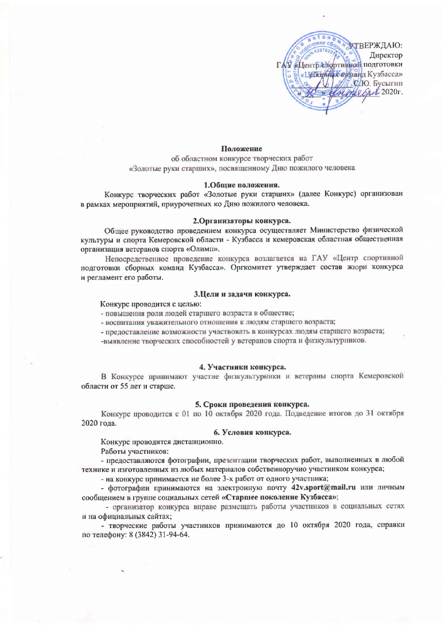

### Положение

об областном конкурсе творческих работ «Золотые руки старших», посвященному Дню пожилого человека

#### 1.Общие положения.

Конкурс творческих работ «Золотые руки старших» (далее Конкурс) организован в рамках мероприятий, приуроченных ко Дню пожилого человека.

### 2.Организаторы конкурса.

Общее руководство проведением конкурса осуществляет Министерство физической культуры и спорта Кемеровской области - Кузбасса и кемеровская областная общественная организация ветеранов спорта «Олимп».

Непосредственное проведение конкурса возлагается на ГАУ «Центр спортивной подготовки сборных команд Кузбасса». Оргкомитет утверждает состав жюри конкурса и регламент его работы.

## 3.Цели и задачи конкурса.

Конкурс проводится с целью:

- повышения роли людей старшего возраста в обществе;

- воспитания уважительного отношения к людям старшего возраста;

- предоставление возможности участвовать в конкурсах людям старшего возраста;

-выявление творческих способностей у ветеранов спорта и физкультурников.

#### 4. Участники конкурса.

В Конкурсе принимают участие физкультурники и ветераны спорта Кемеровской области от 55 лет и старше.

## 5. Сроки проведения конкурса.

Конкурс проводится с 01 по 10 октября 2020 года. Подведение итогов до 31 октября 2020 года.

## 6. Условия конкурса.

Конкурс проводится дистанционно.

Работы участников:

- предоставляются фотографии, презентации творческих работ, выполненных в любой технике и изготовленных из любых материалов собственноручно участником конкурса;

- на конкурс принимается не более 3-х работ от одного участника;

- фотографии принимаются на электронную почту 42v.sport@mail.ru или личным сообщением в группе социальных сетей «Старшее поколение Кузбасса»;

- организатор конкурса вправе размещать работы участников в социальных сетях и на официальных сайтах;

- творческие работы участников принимаются до 10 октября 2020 года, справки по телефону: 8 (3842) 31-94-64.